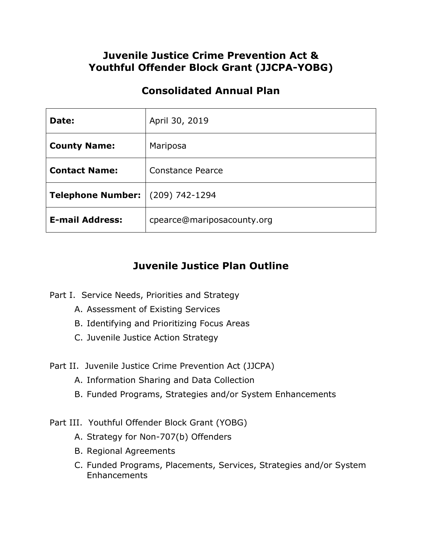## **Juvenile Justice Crime Prevention Act & Youthful Offender Block Grant (JJCPA-YOBG)**

## **Consolidated Annual Plan**

| Date:                                   | April 30, 2019             |
|-----------------------------------------|----------------------------|
| <b>County Name:</b>                     | Mariposa                   |
| <b>Contact Name:</b>                    | Constance Pearce           |
| <b>Telephone Number:</b> (209) 742-1294 |                            |
| <b>E-mail Address:</b>                  | cpearce@mariposacounty.org |

## **Juvenile Justice Plan Outline**

- Part I. Service Needs, Priorities and Strategy
	- A. Assessment of Existing Services
	- B. Identifying and Prioritizing Focus Areas
	- C. Juvenile Justice Action Strategy
- Part II. Juvenile Justice Crime Prevention Act (JJCPA)
	- A. Information Sharing and Data Collection
	- B. Funded Programs, Strategies and/or System Enhancements
- Part III. Youthful Offender Block Grant (YOBG)
	- A. Strategy for Non-707(b) Offenders
	- B. Regional Agreements
	- C. Funded Programs, Placements, Services, Strategies and/or System Enhancements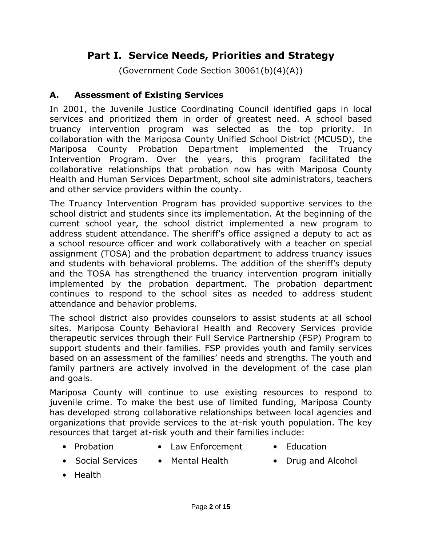# **Part I. Service Needs, Priorities and Strategy**

(Government Code Section 30061(b)(4)(A))

## **A. Assessment of Existing Services**

In 2001, the Juvenile Justice Coordinating Council identified gaps in local services and prioritized them in order of greatest need. A school based truancy intervention program was selected as the top priority. In collaboration with the Mariposa County Unified School District (MCUSD), the Mariposa County Probation Department implemented the Truancy Intervention Program. Over the years, this program facilitated the collaborative relationships that probation now has with Mariposa County Health and Human Services Department, school site administrators, teachers and other service providers within the county.

The Truancy Intervention Program has provided supportive services to the school district and students since its implementation. At the beginning of the current school year, the school district implemented a new program to address student attendance. The sheriff's office assigned a deputy to act as a school resource officer and work collaboratively with a teacher on special assignment (TOSA) and the probation department to address truancy issues and students with behavioral problems. The addition of the sheriff's deputy and the TOSA has strengthened the truancy intervention program initially implemented by the probation department. The probation department continues to respond to the school sites as needed to address student attendance and behavior problems.

The school district also provides counselors to assist students at all school sites. Mariposa County Behavioral Health and Recovery Services provide therapeutic services through their Full Service Partnership (FSP) Program to support students and their families. FSP provides youth and family services based on an assessment of the families' needs and strengths. The youth and family partners are actively involved in the development of the case plan and goals.

Mariposa County will continue to use existing resources to respond to juvenile crime. To make the best use of limited funding, Mariposa County has developed strong collaborative relationships between local agencies and organizations that provide services to the at-risk youth population. The key resources that target at-risk youth and their families include:

- 
- Probation Law Enforcement Education
	-
- Social Services Mental Health Drug and Alcohol
- Health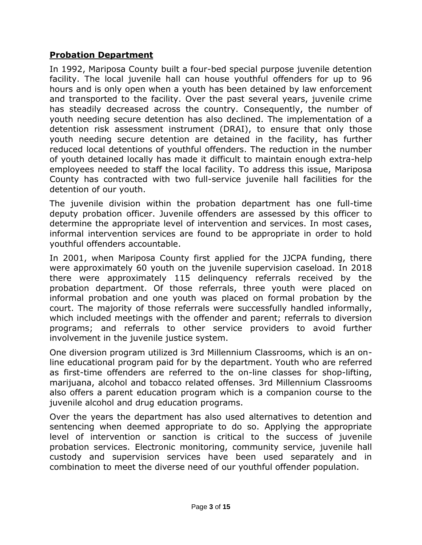#### **Probation Department**

In 1992, Mariposa County built a four-bed special purpose juvenile detention facility. The local juvenile hall can house youthful offenders for up to 96 hours and is only open when a youth has been detained by law enforcement and transported to the facility. Over the past several years, juvenile crime has steadily decreased across the country. Consequently, the number of youth needing secure detention has also declined. The implementation of a detention risk assessment instrument (DRAI), to ensure that only those youth needing secure detention are detained in the facility, has further reduced local detentions of youthful offenders. The reduction in the number of youth detained locally has made it difficult to maintain enough extra-help employees needed to staff the local facility. To address this issue, Mariposa County has contracted with two full-service juvenile hall facilities for the detention of our youth.

The juvenile division within the probation department has one full-time deputy probation officer. Juvenile offenders are assessed by this officer to determine the appropriate level of intervention and services. In most cases, informal intervention services are found to be appropriate in order to hold youthful offenders accountable.

In 2001, when Mariposa County first applied for the JJCPA funding, there were approximately 60 youth on the juvenile supervision caseload. In 2018 there were approximately 115 delinquency referrals received by the probation department. Of those referrals, three youth were placed on informal probation and one youth was placed on formal probation by the court. The majority of those referrals were successfully handled informally, which included meetings with the offender and parent; referrals to diversion programs; and referrals to other service providers to avoid further involvement in the juvenile justice system.

One diversion program utilized is 3rd Millennium Classrooms, which is an online educational program paid for by the department. Youth who are referred as first-time offenders are referred to the on-line classes for shop-lifting, marijuana, alcohol and tobacco related offenses. 3rd Millennium Classrooms also offers a parent education program which is a companion course to the juvenile alcohol and drug education programs.

Over the years the department has also used alternatives to detention and sentencing when deemed appropriate to do so. Applying the appropriate level of intervention or sanction is critical to the success of juvenile probation services. Electronic monitoring, community service, juvenile hall custody and supervision services have been used separately and in combination to meet the diverse need of our youthful offender population.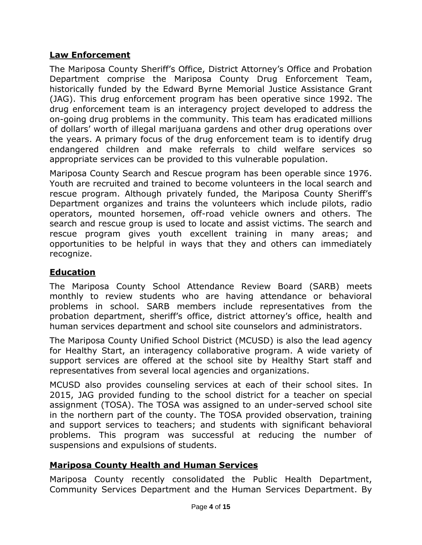#### **Law Enforcement**

The Mariposa County Sheriff's Office, District Attorney's Office and Probation Department comprise the Mariposa County Drug Enforcement Team, historically funded by the Edward Byrne Memorial Justice Assistance Grant (JAG). This drug enforcement program has been operative since 1992. The drug enforcement team is an interagency project developed to address the on-going drug problems in the community. This team has eradicated millions of dollars' worth of illegal marijuana gardens and other drug operations over the years. A primary focus of the drug enforcement team is to identify drug endangered children and make referrals to child welfare services so appropriate services can be provided to this vulnerable population.

Mariposa County Search and Rescue program has been operable since 1976. Youth are recruited and trained to become volunteers in the local search and rescue program. Although privately funded, the Mariposa County Sheriff's Department organizes and trains the volunteers which include pilots, radio operators, mounted horsemen, off-road vehicle owners and others. The search and rescue group is used to locate and assist victims. The search and rescue program gives youth excellent training in many areas; and opportunities to be helpful in ways that they and others can immediately recognize.

## **Education**

The Mariposa County School Attendance Review Board (SARB) meets monthly to review students who are having attendance or behavioral problems in school. SARB members include representatives from the probation department, sheriff's office, district attorney's office, health and human services department and school site counselors and administrators.

The Mariposa County Unified School District (MCUSD) is also the lead agency for Healthy Start, an interagency collaborative program. A wide variety of support services are offered at the school site by Healthy Start staff and representatives from several local agencies and organizations.

MCUSD also provides counseling services at each of their school sites. In 2015, JAG provided funding to the school district for a teacher on special assignment (TOSA). The TOSA was assigned to an under-served school site in the northern part of the county. The TOSA provided observation, training and support services to teachers; and students with significant behavioral problems. This program was successful at reducing the number of suspensions and expulsions of students.

## **Mariposa County Health and Human Services**

Mariposa County recently consolidated the Public Health Department, Community Services Department and the Human Services Department. By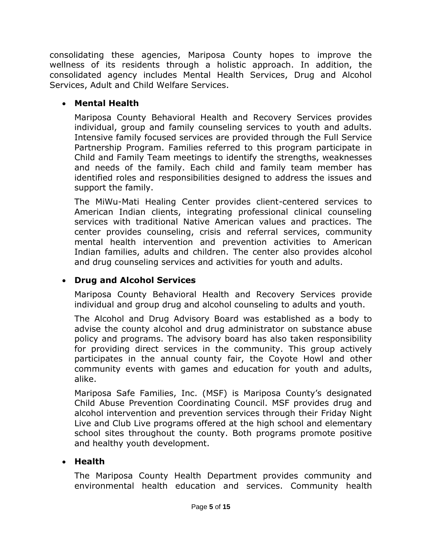consolidating these agencies, Mariposa County hopes to improve the wellness of its residents through a holistic approach. In addition, the consolidated agency includes Mental Health Services, Drug and Alcohol Services, Adult and Child Welfare Services.

#### **Mental Health**

Mariposa County Behavioral Health and Recovery Services provides individual, group and family counseling services to youth and adults. Intensive family focused services are provided through the Full Service Partnership Program. Families referred to this program participate in Child and Family Team meetings to identify the strengths, weaknesses and needs of the family. Each child and family team member has identified roles and responsibilities designed to address the issues and support the family.

The MiWu-Mati Healing Center provides client-centered services to American Indian clients, integrating professional clinical counseling services with traditional Native American values and practices. The center provides counseling, crisis and referral services, community mental health intervention and prevention activities to American Indian families, adults and children. The center also provides alcohol and drug counseling services and activities for youth and adults.

## **Drug and Alcohol Services**

Mariposa County Behavioral Health and Recovery Services provide individual and group drug and alcohol counseling to adults and youth.

The Alcohol and Drug Advisory Board was established as a body to advise the county alcohol and drug administrator on substance abuse policy and programs. The advisory board has also taken responsibility for providing direct services in the community. This group actively participates in the annual county fair, the Coyote Howl and other community events with games and education for youth and adults, alike.

Mariposa Safe Families, Inc. (MSF) is Mariposa County's designated Child Abuse Prevention Coordinating Council. MSF provides drug and alcohol intervention and prevention services through their Friday Night Live and Club Live programs offered at the high school and elementary school sites throughout the county. Both programs promote positive and healthy youth development.

#### **Health**

The Mariposa County Health Department provides community and environmental health education and services. Community health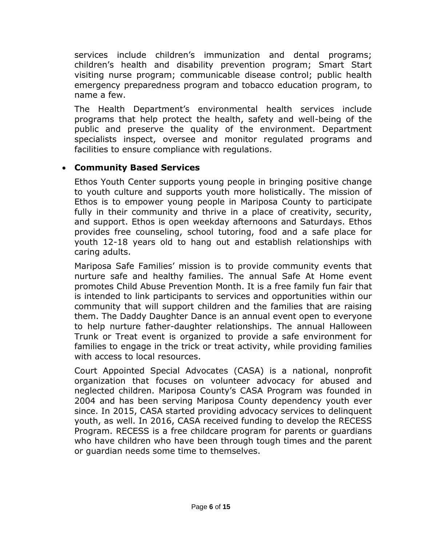services include children's immunization and dental programs; children's health and disability prevention program; Smart Start visiting nurse program; communicable disease control; public health emergency preparedness program and tobacco education program, to name a few.

The Health Department's environmental health services include programs that help protect the health, safety and well-being of the public and preserve the quality of the environment. Department specialists inspect, oversee and monitor regulated programs and facilities to ensure compliance with regulations.

#### **Community Based Services**

Ethos Youth Center supports young people in bringing positive change to youth culture and supports youth more holistically. The mission of Ethos is to empower young people in Mariposa County to participate fully in their community and thrive in a place of creativity, security, and support. Ethos is open weekday afternoons and Saturdays. Ethos provides free counseling, school tutoring, food and a safe place for youth 12-18 years old to hang out and establish relationships with caring adults.

Mariposa Safe Families' mission is to provide community events that nurture safe and healthy families. The annual Safe At Home event promotes Child Abuse Prevention Month. It is a free family fun fair that is intended to link participants to services and opportunities within our community that will support children and the families that are raising them. The Daddy Daughter Dance is an annual event open to everyone to help nurture father-daughter relationships. The annual Halloween Trunk or Treat event is organized to provide a safe environment for families to engage in the trick or treat activity, while providing families with access to local resources.

Court Appointed Special Advocates (CASA) is a national, nonprofit organization that focuses on volunteer advocacy for abused and neglected children. Mariposa County's CASA Program was founded in 2004 and has been serving Mariposa County dependency youth ever since. In 2015, CASA started providing advocacy services to delinquent youth, as well. In 2016, CASA received funding to develop the RECESS Program. RECESS is a free childcare program for parents or guardians who have children who have been through tough times and the parent or guardian needs some time to themselves.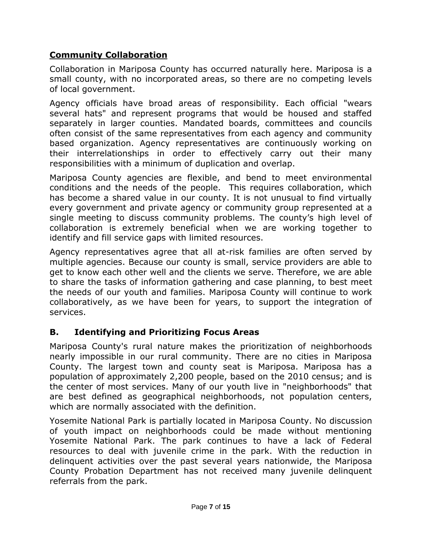## **Community Collaboration**

Collaboration in Mariposa County has occurred naturally here. Mariposa is a small county, with no incorporated areas, so there are no competing levels of local government.

Agency officials have broad areas of responsibility. Each official "wears several hats" and represent programs that would be housed and staffed separately in larger counties. Mandated boards, committees and councils often consist of the same representatives from each agency and community based organization. Agency representatives are continuously working on their interrelationships in order to effectively carry out their many responsibilities with a minimum of duplication and overlap.

Mariposa County agencies are flexible, and bend to meet environmental conditions and the needs of the people. This requires collaboration, which has become a shared value in our county. It is not unusual to find virtually every government and private agency or community group represented at a single meeting to discuss community problems. The county's high level of collaboration is extremely beneficial when we are working together to identify and fill service gaps with limited resources.

Agency representatives agree that all at-risk families are often served by multiple agencies. Because our county is small, service providers are able to get to know each other well and the clients we serve. Therefore, we are able to share the tasks of information gathering and case planning, to best meet the needs of our youth and families. Mariposa County will continue to work collaboratively, as we have been for years, to support the integration of services.

## **B. Identifying and Prioritizing Focus Areas**

Mariposa County's rural nature makes the prioritization of neighborhoods nearly impossible in our rural community. There are no cities in Mariposa County. The largest town and county seat is Mariposa. Mariposa has a population of approximately 2,200 people, based on the 2010 census; and is the center of most services. Many of our youth live in "neighborhoods" that are best defined as geographical neighborhoods, not population centers, which are normally associated with the definition.

Yosemite National Park is partially located in Mariposa County. No discussion of youth impact on neighborhoods could be made without mentioning Yosemite National Park. The park continues to have a lack of Federal resources to deal with juvenile crime in the park. With the reduction in delinquent activities over the past several years nationwide, the Mariposa County Probation Department has not received many juvenile delinquent referrals from the park.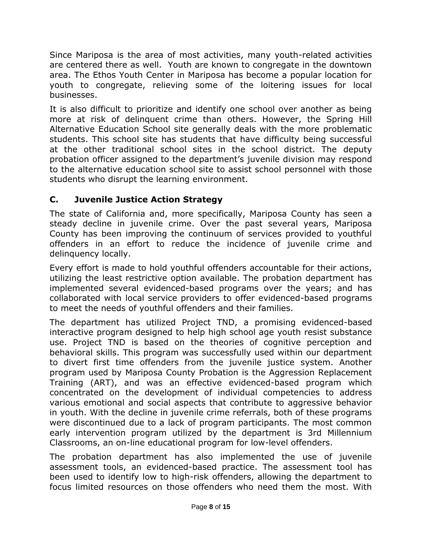Since Mariposa is the area of most activities, many youth-related activities are centered there as well. Youth are known to congregate in the downtown area. The Ethos Youth Center in Mariposa has become a popular location for youth to congregate, relieving some of the loitering issues for local businesses.

It is also difficult to prioritize and identify one school over another as being more at risk of delinquent crime than others. However, the Spring Hill Alternative Education School site generally deals with the more problematic students. This school site has students that have difficulty being successful at the other traditional school sites in the school district. The deputy probation officer assigned to the department's juvenile division may respond to the alternative education school site to assist school personnel with those students who disrupt the learning environment.

## **C. Juvenile Justice Action Strategy**

The state of California and, more specifically, Mariposa County has seen a steady decline in juvenile crime. Over the past several years, Mariposa County has been improving the continuum of services provided to youthful offenders in an effort to reduce the incidence of juvenile crime and delinquency locally.

Every effort is made to hold youthful offenders accountable for their actions, utilizing the least restrictive option available. The probation department has implemented several evidenced-based programs over the years; and has collaborated with local service providers to offer evidenced-based programs to meet the needs of youthful offenders and their families.

The department has utilized Project TND, a promising evidenced-based interactive program designed to help high school age youth resist substance use. Project TND is based on the theories of cognitive perception and behavioral skills. This program was successfully used within our department to divert first time offenders from the juvenile justice system. Another program used by Mariposa County Probation is the Aggression Replacement Training (ART), and was an effective evidenced-based program which concentrated on the development of individual competencies to address various emotional and social aspects that contribute to aggressive behavior in youth. With the decline in juvenile crime referrals, both of these programs were discontinued due to a lack of program participants. The most common early intervention program utilized by the department is 3rd Millennium Classrooms, an on-line educational program for low-level offenders.

The probation department has also implemented the use of juvenile assessment tools, an evidenced-based practice. The assessment tool has been used to identify low to high-risk offenders, allowing the department to focus limited resources on those offenders who need them the most. With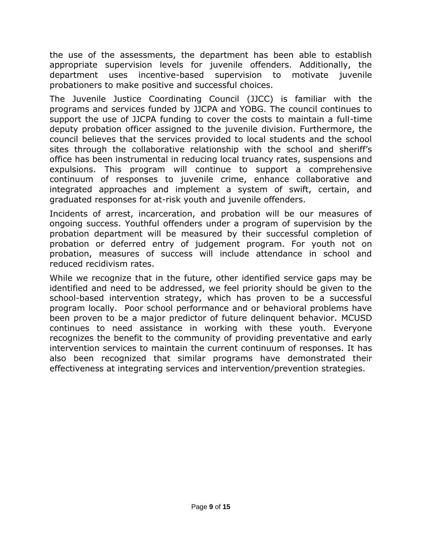the use of the assessments, the department has been able to establish appropriate supervision levels for juvenile offenders. Additionally, the department uses incentive-based supervision to motivate juvenile probationers to make positive and successful choices.

The Juvenile Justice Coordinating Council (JJCC) is familiar with the programs and services funded by JJCPA and YOBG. The council continues to support the use of JJCPA funding to cover the costs to maintain a full-time deputy probation officer assigned to the juvenile division. Furthermore, the council believes that the services provided to local students and the school sites through the collaborative relationship with the school and sheriff's office has been instrumental in reducing local truancy rates, suspensions and expulsions. This program will continue to support a comprehensive continuum of responses to juvenile crime, enhance collaborative and integrated approaches and implement a system of swift, certain, and graduated responses for at-risk youth and juvenile offenders.

Incidents of arrest, incarceration, and probation will be our measures of ongoing success. Youthful offenders under a program of supervision by the probation department will be measured by their successful completion of probation or deferred entry of judgement program. For youth not on probation, measures of success will include attendance in school and reduced recidivism rates.

While we recognize that in the future, other identified service gaps may be identified and need to be addressed, we feel priority should be given to the school-based intervention strategy, which has proven to be a successful program locally. Poor school performance and or behavioral problems have been proven to be a major predictor of future delinquent behavior. MCUSD continues to need assistance in working with these youth. Everyone recognizes the benefit to the community of providing preventative and early intervention services to maintain the current continuum of responses. It has also been recognized that similar programs have demonstrated their effectiveness at integrating services and intervention/prevention strategies.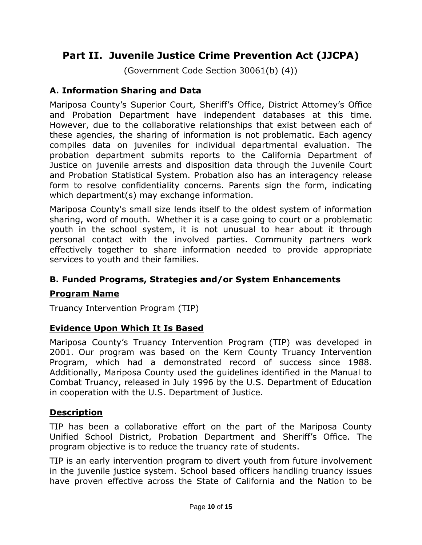# **Part II. Juvenile Justice Crime Prevention Act (JJCPA)**

(Government Code Section 30061(b) (4))

#### **A. Information Sharing and Data**

Mariposa County's Superior Court, Sheriff's Office, District Attorney's Office and Probation Department have independent databases at this time. However, due to the collaborative relationships that exist between each of these agencies, the sharing of information is not problematic. Each agency compiles data on juveniles for individual departmental evaluation. The probation department submits reports to the California Department of Justice on juvenile arrests and disposition data through the Juvenile Court and Probation Statistical System. Probation also has an interagency release form to resolve confidentiality concerns. Parents sign the form, indicating which department(s) may exchange information.

Mariposa County's small size lends itself to the oldest system of information sharing, word of mouth. Whether it is a case going to court or a problematic youth in the school system, it is not unusual to hear about it through personal contact with the involved parties. Community partners work effectively together to share information needed to provide appropriate services to youth and their families.

## **B. Funded Programs, Strategies and/or System Enhancements**

#### **Program Name**

Truancy Intervention Program (TIP)

#### **Evidence Upon Which It Is Based**

Mariposa County's Truancy Intervention Program (TIP) was developed in 2001. Our program was based on the Kern County Truancy Intervention Program, which had a demonstrated record of success since 1988. Additionally, Mariposa County used the guidelines identified in the Manual to Combat Truancy, released in July 1996 by the U.S. Department of Education in cooperation with the U.S. Department of Justice.

#### **Description**

TIP has been a collaborative effort on the part of the Mariposa County Unified School District, Probation Department and Sheriff's Office. The program objective is to reduce the truancy rate of students.

TIP is an early intervention program to divert youth from future involvement in the juvenile justice system. School based officers handling truancy issues have proven effective across the State of California and the Nation to be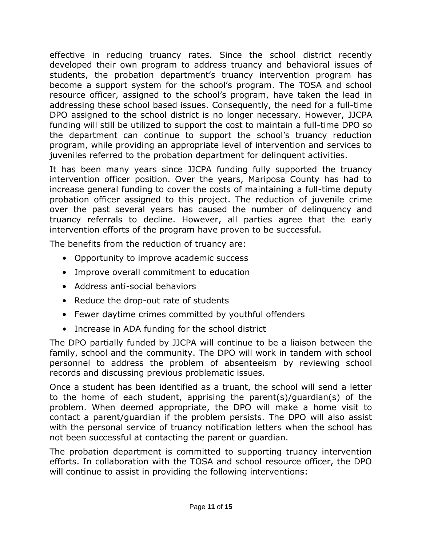effective in reducing truancy rates. Since the school district recently developed their own program to address truancy and behavioral issues of students, the probation department's truancy intervention program has become a support system for the school's program. The TOSA and school resource officer, assigned to the school's program, have taken the lead in addressing these school based issues. Consequently, the need for a full-time DPO assigned to the school district is no longer necessary. However, JJCPA funding will still be utilized to support the cost to maintain a full-time DPO so the department can continue to support the school's truancy reduction program, while providing an appropriate level of intervention and services to juveniles referred to the probation department for delinquent activities.

It has been many years since JJCPA funding fully supported the truancy intervention officer position. Over the years, Mariposa County has had to increase general funding to cover the costs of maintaining a full-time deputy probation officer assigned to this project. The reduction of juvenile crime over the past several years has caused the number of delinquency and truancy referrals to decline. However, all parties agree that the early intervention efforts of the program have proven to be successful.

The benefits from the reduction of truancy are:

- Opportunity to improve academic success
- Improve overall commitment to education
- Address anti-social behaviors
- Reduce the drop-out rate of students
- Fewer daytime crimes committed by youthful offenders
- Increase in ADA funding for the school district

The DPO partially funded by JJCPA will continue to be a liaison between the family, school and the community. The DPO will work in tandem with school personnel to address the problem of absenteeism by reviewing school records and discussing previous problematic issues.

Once a student has been identified as a truant, the school will send a letter to the home of each student, apprising the parent(s)/guardian(s) of the problem. When deemed appropriate, the DPO will make a home visit to contact a parent/guardian if the problem persists. The DPO will also assist with the personal service of truancy notification letters when the school has not been successful at contacting the parent or guardian.

The probation department is committed to supporting truancy intervention efforts. In collaboration with the TOSA and school resource officer, the DPO will continue to assist in providing the following interventions: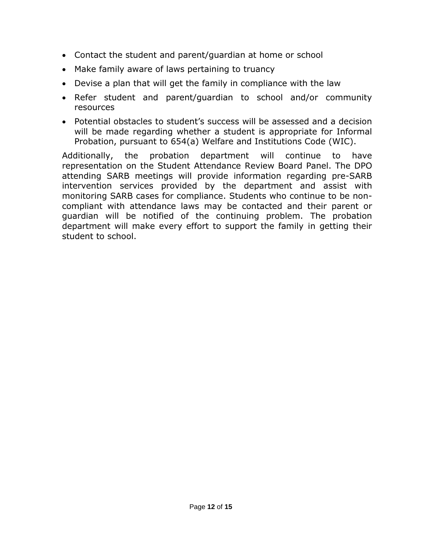- Contact the student and parent/guardian at home or school
- Make family aware of laws pertaining to truancy
- Devise a plan that will get the family in compliance with the law
- Refer student and parent/guardian to school and/or community resources
- Potential obstacles to student's success will be assessed and a decision will be made regarding whether a student is appropriate for Informal Probation, pursuant to 654(a) Welfare and Institutions Code (WIC).

Additionally, the probation department will continue to have representation on the Student Attendance Review Board Panel. The DPO attending SARB meetings will provide information regarding pre-SARB intervention services provided by the department and assist with monitoring SARB cases for compliance. Students who continue to be noncompliant with attendance laws may be contacted and their parent or guardian will be notified of the continuing problem. The probation department will make every effort to support the family in getting their student to school.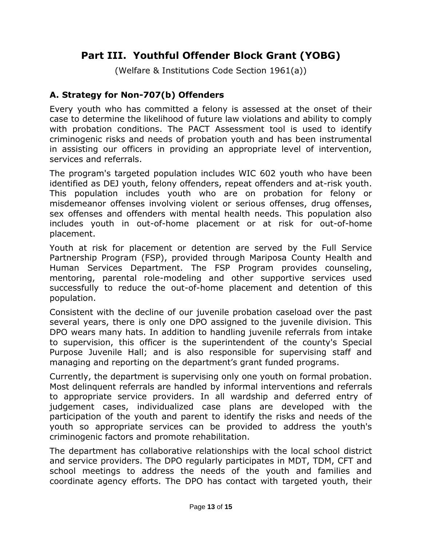# **Part III. Youthful Offender Block Grant (YOBG)**

(Welfare & Institutions Code Section 1961(a))

## **A. Strategy for Non-707(b) Offenders**

Every youth who has committed a felony is assessed at the onset of their case to determine the likelihood of future law violations and ability to comply with probation conditions. The PACT Assessment tool is used to identify criminogenic risks and needs of probation youth and has been instrumental in assisting our officers in providing an appropriate level of intervention, services and referrals.

The program's targeted population includes WIC 602 youth who have been identified as DEJ youth, felony offenders, repeat offenders and at-risk youth. This population includes youth who are on probation for felony or misdemeanor offenses involving violent or serious offenses, drug offenses, sex offenses and offenders with mental health needs. This population also includes youth in out-of-home placement or at risk for out-of-home placement.

Youth at risk for placement or detention are served by the Full Service Partnership Program (FSP), provided through Mariposa County Health and Human Services Department. The FSP Program provides counseling, mentoring, parental role-modeling and other supportive services used successfully to reduce the out-of-home placement and detention of this population.

Consistent with the decline of our juvenile probation caseload over the past several years, there is only one DPO assigned to the juvenile division. This DPO wears many hats. In addition to handling juvenile referrals from intake to supervision, this officer is the superintendent of the county's Special Purpose Juvenile Hall; and is also responsible for supervising staff and managing and reporting on the department's grant funded programs.

Currently, the department is supervising only one youth on formal probation. Most delinquent referrals are handled by informal interventions and referrals to appropriate service providers. In all wardship and deferred entry of judgement cases, individualized case plans are developed with the participation of the youth and parent to identify the risks and needs of the youth so appropriate services can be provided to address the youth's criminogenic factors and promote rehabilitation.

The department has collaborative relationships with the local school district and service providers. The DPO regularly participates in MDT, TDM, CFT and school meetings to address the needs of the youth and families and coordinate agency efforts. The DPO has contact with targeted youth, their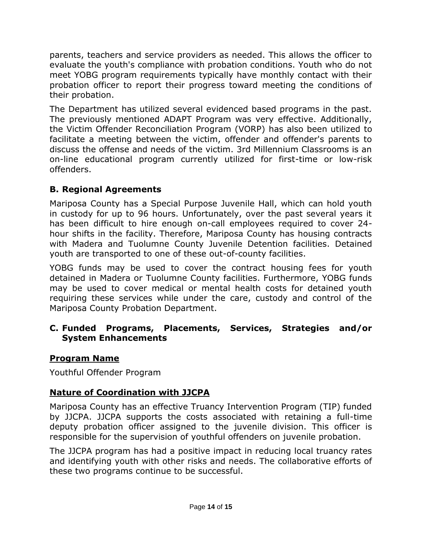parents, teachers and service providers as needed. This allows the officer to evaluate the youth's compliance with probation conditions. Youth who do not meet YOBG program requirements typically have monthly contact with their probation officer to report their progress toward meeting the conditions of their probation.

The Department has utilized several evidenced based programs in the past. The previously mentioned ADAPT Program was very effective. Additionally, the Victim Offender Reconciliation Program (VORP) has also been utilized to facilitate a meeting between the victim, offender and offender's parents to discuss the offense and needs of the victim. 3rd Millennium Classrooms is an on-line educational program currently utilized for first-time or low-risk offenders.

## **B. Regional Agreements**

Mariposa County has a Special Purpose Juvenile Hall, which can hold youth in custody for up to 96 hours. Unfortunately, over the past several years it has been difficult to hire enough on-call employees required to cover 24 hour shifts in the facility. Therefore, Mariposa County has housing contracts with Madera and Tuolumne County Juvenile Detention facilities. Detained youth are transported to one of these out-of-county facilities.

YOBG funds may be used to cover the contract housing fees for youth detained in Madera or Tuolumne County facilities. Furthermore, YOBG funds may be used to cover medical or mental health costs for detained youth requiring these services while under the care, custody and control of the Mariposa County Probation Department.

#### **C. Funded Programs, Placements, Services, Strategies and/or System Enhancements**

## **Program Name**

Youthful Offender Program

## **Nature of Coordination with JJCPA**

Mariposa County has an effective Truancy Intervention Program (TIP) funded by JJCPA. JJCPA supports the costs associated with retaining a full-time deputy probation officer assigned to the juvenile division. This officer is responsible for the supervision of youthful offenders on juvenile probation.

The JJCPA program has had a positive impact in reducing local truancy rates and identifying youth with other risks and needs. The collaborative efforts of these two programs continue to be successful.